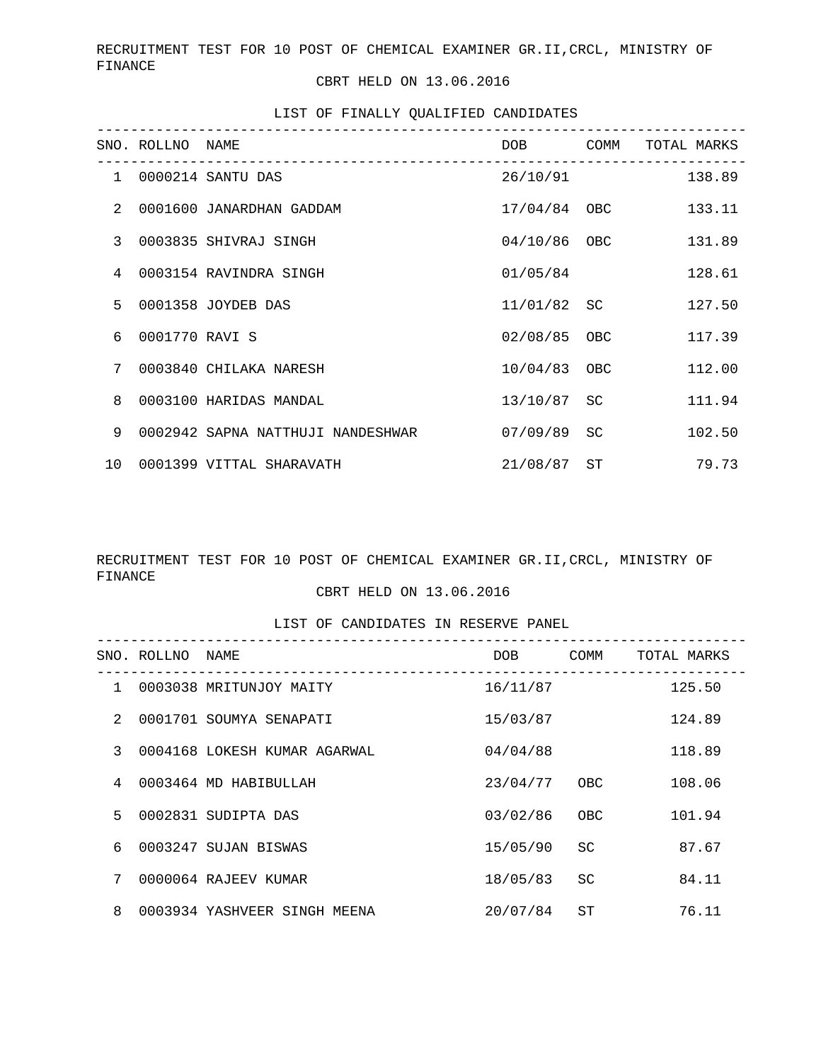RECRUITMENT TEST FOR 10 POST OF CHEMICAL EXAMINER GR.II,CRCL, MINISTRY OF FINANCE

CBRT HELD ON 13.06.2016

### LIST OF FINALLY QUALIFIED CANDIDATES

|                 | SNO. ROLLNO NAME | __________________________________ | DOB <sub>a</sub> | COMM      | TOTAL MARKS |  |
|-----------------|------------------|------------------------------------|------------------|-----------|-------------|--|
| $\mathbf{1}$    |                  | 0000214 SANTU DAS                  | 26/10/91         |           | 138.89      |  |
| $\mathcal{L}$   |                  | 0001600 JANARDHAN GADDAM           | 17/04/84 OBC     |           | 133.11      |  |
| 3               |                  | 0003835 SHIVRAJ SINGH              | 04/10/86 OBC     |           | 131.89      |  |
| 4               |                  | 0003154 RAVINDRA SINGH             | 01/05/84         |           | 128.61      |  |
| 5               |                  | 0001358 JOYDEB DAS                 | 11/01/82 SC      |           | 127.50      |  |
| б.              | 0001770 RAVI S   |                                    | 02/08/85 OBC     |           | 117.39      |  |
| 7               |                  | 0003840 CHILAKA NARESH             | 10/04/83 OBC     |           | 112.00      |  |
| 8               |                  | 0003100 HARIDAS MANDAL             | 13/10/87         | SC        | 111.94      |  |
| 9               |                  | 0002942 SAPNA NATTHUJI NANDESHWAR  | 07/09/89         | <b>SC</b> | 102.50      |  |
| 10 <sup>°</sup> |                  | 0001399 VITTAL SHARAVATH           | 21/08/87         | ST        | 79.73       |  |

# RECRUITMENT TEST FOR 10 POST OF CHEMICAL EXAMINER GR.II,CRCL, MINISTRY OF FINANCE

## CBRT HELD ON 13.06.2016

### LIST OF CANDIDATES IN RESERVE PANEL

|                | SNO. ROLLNO | NAME                         | DOB      | COMM          | TOTAL MARKS |
|----------------|-------------|------------------------------|----------|---------------|-------------|
| $\mathbf{1}$   |             | 0003038 MRITUNJOY MAITY      | 16/11/87 |               | 125.50      |
| $\mathfrak{D}$ |             | 0001701 SOUMYA SENAPATI      | 15/03/87 |               | 124.89      |
| 3              |             | 0004168 LOKESH KUMAR AGARWAL | 04/04/88 |               | 118.89      |
| 4              |             | 0003464 MD HABIBULLAH        | 23/04/77 | OBC           | 108.06      |
| 5              |             | 0002831 SUDIPTA DAS          | 03/02/86 | OBC.          | 101.94      |
| 6              |             | 0003247 SUJAN BISWAS         | 15/05/90 | SC.           | 87.67       |
| 7              |             | 0000064 RAJEEV KUMAR         | 18/05/83 | <sub>SC</sub> | 84.11       |
| 8              |             | 0003934 YASHVEER SINGH MEENA | 20/07/84 | ST            | 76.11       |